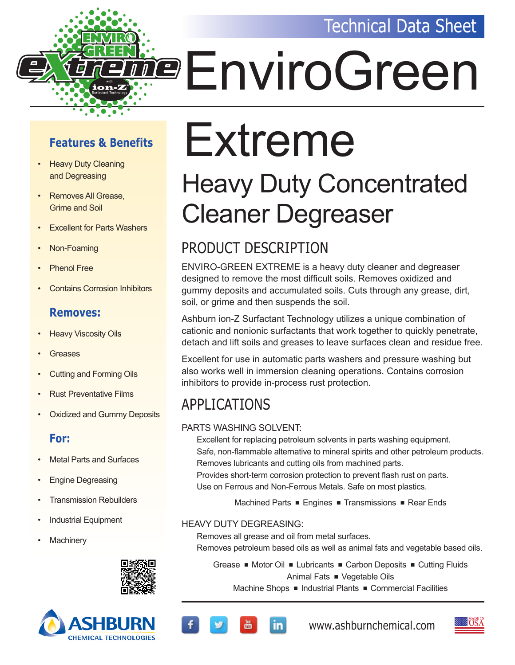# Technical Data Sheet



### **Features & Benefits**

- Heavy Duty Cleaning and Degreasing
- Removes All Grease, Grime and Soil
- **Excellent for Parts Washers**
- Non-Foaming
- **Phenol Free**
- Contains Corrosion Inhibitors

#### **Removes:**

- **Heavy Viscosity Oils**
- **Greases**
- Cutting and Forming Oils
- Rust Preventative Films
- **Oxidized and Gummy Deposits**

#### **For:**

- Metal Parts and Surfaces
- Engine Degreasing
- **Transmission Rebuilders**
- Industrial Equipment
- **Machinery**





# Extreme

# Heavy Duty Concentrated Cleaner Degreaser

# PRODUCT DESCRIPTION

ENVIRO-GREEN EXTREME is a heavy duty cleaner and degreaser designed to remove the most difficult soils. Removes oxidized and gummy deposits and accumulated soils. Cuts through any grease, dirt, soil, or grime and then suspends the soil.

Ashburn ion-Z Surfactant Technology utilizes a unique combination of cationic and nonionic surfactants that work together to quickly penetrate, detach and lift soils and greases to leave surfaces clean and residue free.

Excellent for use in automatic parts washers and pressure washing but also works well in immersion cleaning operations. Contains corrosion inhibitors to provide in-process rust protection.

# APPLICATIONS

#### PARTS WASHING SOLVENT:

Excellent for replacing petroleum solvents in parts washing equipment. Safe, non-flammable alternative to mineral spirits and other petroleum products. Removes lubricants and cutting oils from machined parts. Provides short-term corrosion protection to prevent flash rust on parts.

Use on Ferrous and Non-Ferrous Metals. Safe on most plastics.

Machined Parts  $\blacksquare$  Engines  $\blacksquare$  Transmissions  $\blacksquare$  Rear Ends

#### HEAVY DUTY DEGREASING:

Removes all grease and oil from metal surfaces.

in.

Removes petroleum based oils as well as animal fats and vegetable based oils.

Grease • Motor Oil • Lubricants • Carbon Deposits • Cutting Fluids Animal Fats ■ Vegetable Oils

Machine Shops  $\blacksquare$  Industrial Plants  $\blacksquare$  Commercial Facilities